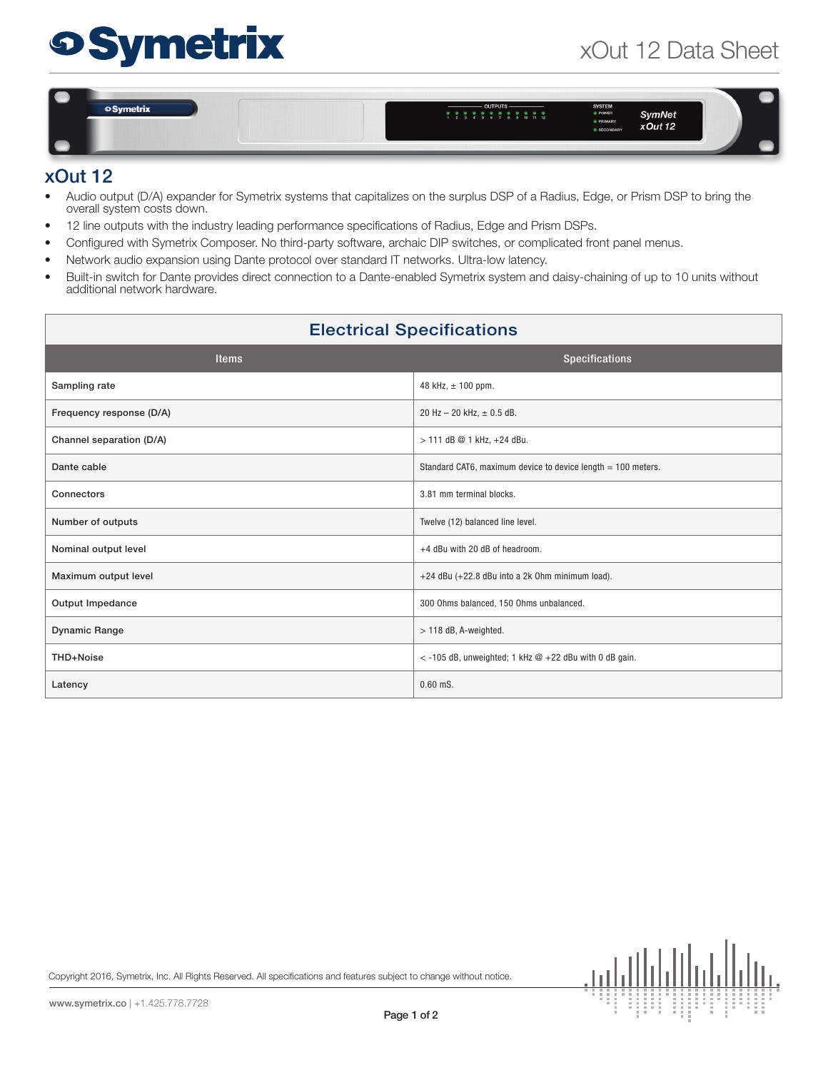## xOut 12 Data Sheet

# **Symetrix**

oSymetrix  $\frac{1}{1}$  ,  $\frac{1}{2}$  ,  $\frac{1}{2}$  ,  $\frac{1}{2}$  ,  $\frac{1}{2}$  ,  $\frac{1}{2}$  ,  $\frac{1}{2}$  ,  $\frac{1}{2}$  ,  $\frac{1}{2}$  ,  $\frac{1}{2}$  ,  $\frac{1}{2}$  ,  $\frac{1}{2}$  ,  $\frac{1}{2}$ **SymNet**  $x$ Out 12

#### xOut 12

- Audio output (D/A) expander for Symetrix systems that capitalizes on the surplus DSP of a Radius, Edge, or Prism DSP to bring the overall system costs down.
- 12 line outputs with the industry leading performance specifications of Radius, Edge and Prism DSPs.
- Configured with Symetrix Composer. No third-party software, archaic DIP switches, or complicated front panel menus.
- Network audio expansion using Dante protocol over standard IT networks. Ultra-low latency.
- Built-in switch for Dante provides direct connection to a Dante-enabled Symetrix system and daisy-chaining of up to 10 units without additional network hardware.

### Electrical Specifications

| <b>Items</b>             | <b>Specifications</b>                                        |
|--------------------------|--------------------------------------------------------------|
| Sampling rate            | 48 kHz, $\pm$ 100 ppm.                                       |
| Frequency response (D/A) | 20 Hz $-$ 20 kHz, $\pm$ 0.5 dB.                              |
| Channel separation (D/A) | > 111 dB @ 1 kHz, +24 dBu.                                   |
| Dante cable              | Standard CAT6, maximum device to device length = 100 meters. |
| Connectors               | 3.81 mm terminal blocks.                                     |
| Number of outputs        | Twelve (12) balanced line level.                             |
| Nominal output level     | +4 dBu with 20 dB of headroom.                               |
| Maximum output level     | +24 dBu (+22.8 dBu into a 2k 0hm minimum load).              |
| Output Impedance         | 300 Ohms balanced, 150 Ohms unbalanced.                      |
| <b>Dynamic Range</b>     | $> 118$ dB, A-weighted.                                      |
| THD+Noise                | $<$ -105 dB, unweighted; 1 kHz $@$ +22 dBu with 0 dB gain.   |
| Latency                  | $0.60$ mS.                                                   |

Copyright 2016, Symetrix, Inc. All Rights Reserved. All specifications and features subject to change without notice.